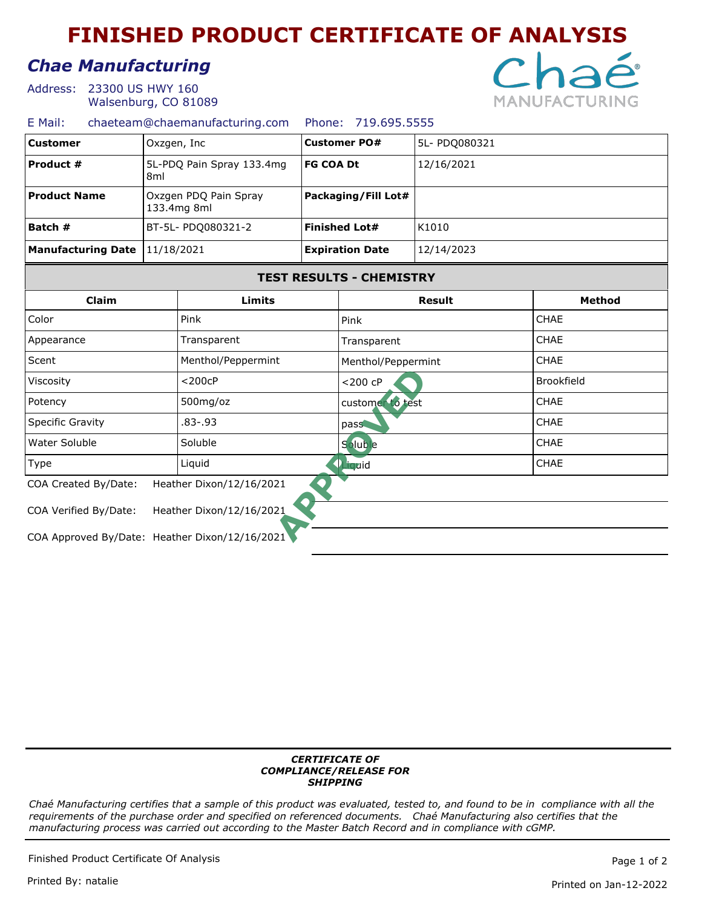# **FINISHED PRODUCT CERTIFICATE OF ANALYSIS**

## *Chae Manufacturing*

Address: 23300 US HWY 160 Walsenburg, CO 81089



### E Mail: chaeteam@chaemanufacturing.com Phone: 719.695.5555

| <b>Customer</b>                                | Oxzgen, Inc<br>5L-PDQ Pain Spray 133.4mg<br>8 <sub>ml</sub> |                          | <b>Customer PO#</b><br><b>FG COA Dt</b> |                                 | 5L- PDQ080321     |               |  |  |
|------------------------------------------------|-------------------------------------------------------------|--------------------------|-----------------------------------------|---------------------------------|-------------------|---------------|--|--|
| Product #                                      |                                                             |                          |                                         |                                 | 12/16/2021        |               |  |  |
| <b>Product Name</b>                            | Oxzgen PDQ Pain Spray<br>133.4mg 8ml                        |                          | Packaging/Fill Lot#                     |                                 |                   |               |  |  |
| Batch #                                        | BT-5L- PDQ080321-2                                          |                          | <b>Finished Lot#</b>                    |                                 | K1010             |               |  |  |
| <b>Manufacturing Date</b>                      | 11/18/2021                                                  |                          | <b>Expiration Date</b>                  |                                 | 12/14/2023        |               |  |  |
|                                                |                                                             |                          |                                         | <b>TEST RESULTS - CHEMISTRY</b> |                   |               |  |  |
| Claim                                          | Limits                                                      |                          |                                         |                                 | <b>Result</b>     | <b>Method</b> |  |  |
| Color                                          | Pink                                                        |                          | Pink                                    |                                 |                   | CHAE          |  |  |
| Transparent<br>Appearance                      |                                                             | Transparent              |                                         |                                 | CHAE              |               |  |  |
| Scent                                          | Menthol/Peppermint                                          |                          |                                         | Menthol/Peppermint              |                   | <b>CHAE</b>   |  |  |
| $<$ 200 $c$ P<br>Viscosity                     |                                                             | $<$ 200 $<$ P            |                                         |                                 | <b>Brookfield</b> |               |  |  |
| Potency                                        |                                                             | 500mg/oz                 |                                         | customer to test                |                   | <b>CHAE</b>   |  |  |
| Specific Gravity                               |                                                             | 83-.93                   |                                         | pass                            |                   | CHAE          |  |  |
| Water Soluble<br>Soluble                       |                                                             |                          | Soluble                                 |                                 |                   | <b>CHAE</b>   |  |  |
| Liquid<br><b>Type</b>                          |                                                             |                          | <b>Priquid</b>                          | <b>CHAE</b>                     |                   |               |  |  |
| COA Created By/Date:                           |                                                             | Heather Dixon/12/16/2021 |                                         |                                 |                   |               |  |  |
| COA Verified By/Date:                          |                                                             | Heather Dixon/12/16/2021 |                                         |                                 |                   |               |  |  |
| COA Approved By/Date: Heather Dixon/12/16/2021 |                                                             |                          |                                         |                                 |                   |               |  |  |

#### *CERTIFICATE OF COMPLIANCE/RELEASE FOR SHIPPING*

*Chaé Manufacturing certifies that a sample of this product was evaluated, tested to, and found to be in compliance with all the requirements of the purchase order and specified on referenced documents. Chaé Manufacturing also certifies that the manufacturing process was carried out according to the Master Batch Record and in compliance with cGMP.*

Finished Product Certificate Of Analysis **Page 1** of 2